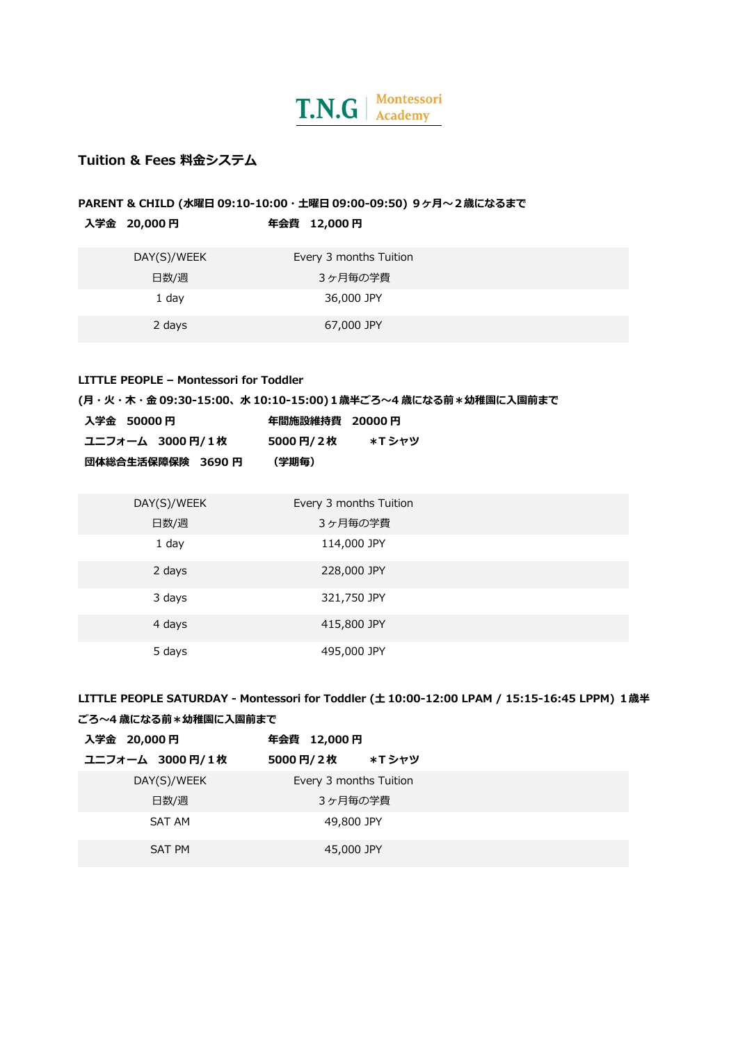

# **Tuition & Fees 料⾦システム**

## **PARENT & CHILD (水曜日 09:10-10:00・土曜日 09:00-09:50) 9ヶ月~2歳になるまで ⼊学⾦ 20,000 円 年会費 12,000 円**

| .           |                        |
|-------------|------------------------|
| DAY(S)/WEEK | Every 3 months Tuition |
| 日数/週        | 3ヶ月毎の学費                |
| 1 day       | 36,000 JPY             |
| 2 days      | 67,000 JPY             |

#### **LITTLE PEOPLE – Montessori for Toddler**

**(⽉・⽕・⽊・⾦ 09:30-15:00、⽔ 10:10-15:00)1歳半ごろ〜4 歳になる前\*幼稚園に⼊園前まで**

| 入学金 50000 円        | 年間施設維持費 20000 円 |        |
|--------------------|-----------------|--------|
| ユニフォーム 3000 円/ 1 枚 | 5000円/2枚        | *T シャツ |
| 団体総合生活保障保険 3690 円  | (学期毎)           |        |

| DAY(S)/WEEK | Every 3 months Tuition |  |
|-------------|------------------------|--|
| 日数/週        | 3ヶ月毎の学費                |  |
| 1 day       | 114,000 JPY            |  |
| 2 days      | 228,000 JPY            |  |
| 3 days      | 321,750 JPY            |  |
| 4 days      | 415,800 JPY            |  |
| 5 days      | 495,000 JPY            |  |

**LITTLE PEOPLE SATURDAY - Montessori for Toddler (⼟ 10:00-12:00 LPAM / 15:15-16:45 LPPM) 1歳半**

| ごろ~4 歳になる前*幼稚園に入園前まで |                        |  |  |  |  |
|----------------------|------------------------|--|--|--|--|
| 入学金 20,000 円         | 年会費 12,000 円           |  |  |  |  |
| ユニフォーム 3000円/1枚      | 5000円/2枚<br>*T シャツ     |  |  |  |  |
| DAY(S)/WEEK          | Every 3 months Tuition |  |  |  |  |
| 日数/週                 | 3ヶ月毎の学費                |  |  |  |  |
| SAT AM               | 49,800 JPY             |  |  |  |  |
| SAT PM               | 45,000 JPY             |  |  |  |  |